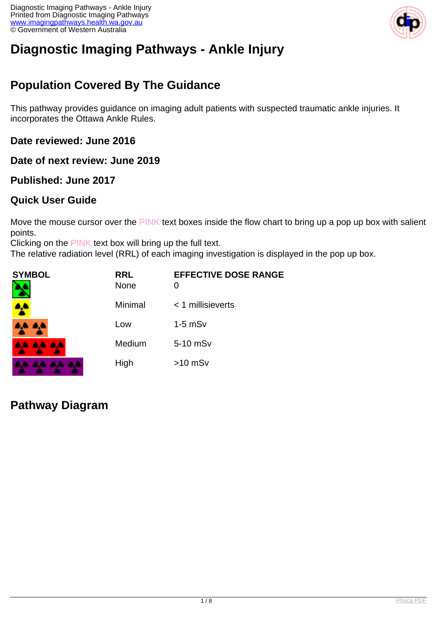

# **Diagnostic Imaging Pathways - Ankle Injury**

## **Population Covered By The Guidance**

This pathway provides guidance on imaging adult patients with suspected traumatic ankle injuries. It incorporates the Ottawa Ankle Rules.

**Date reviewed: June 2016**

**Date of next review: June 2019**

### **Published: June 2017**

### **Quick User Guide**

Move the mouse cursor over the PINK text boxes inside the flow chart to bring up a pop up box with salient points.

Clicking on the PINK text box will bring up the full text.

The relative radiation level (RRL) of each imaging investigation is displayed in the pop up box.

| SYMBOL   | <b>RRL</b><br><b>None</b> | <b>EFFECTIVE DOSE RANGE</b> |
|----------|---------------------------|-----------------------------|
| 4        | Minimal                   | $<$ 1 millisieverts         |
| 4,4 4,4  | Low                       | $1-5$ mSv                   |
| AA AA AA | Medium                    | 5-10 mSv                    |
|          | High                      | $>10$ mSv                   |

**Pathway Diagram**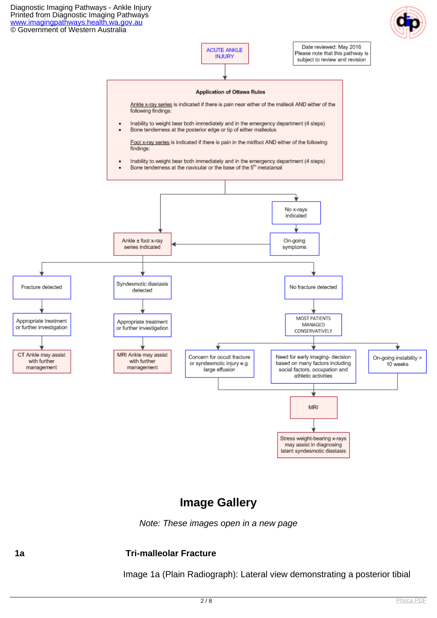

### **Image Gallery**

Note: These images open in a new page

#### **1a Tri-malleolar Fracture**

Image 1a (Plain Radiograph): Lateral view demonstrating a posterior tibial

may assist in diagnosing latent syndesmotic diastasis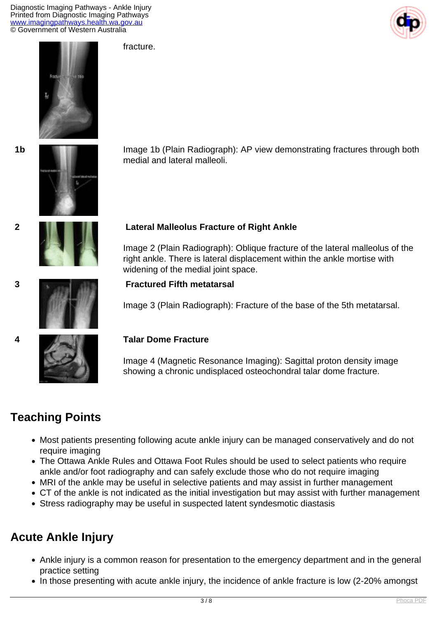Diagnostic Imaging Pathways - Ankle Injury Printed from Diagnostic Imaging Pathways [www.imagingpathways.health.wa.gov.au](http://www.imagingpathways.health.wa.gov.au/) © Government of Western Australia

fracture.







**1b Image 1b** (Plain Radiograph): AP view demonstrating fractures through both medial and lateral malleoli.



#### **2 Lateral Malleolus Fracture of Right Ankle**

Image 2 (Plain Radiograph): Oblique fracture of the lateral malleolus of the right ankle. There is lateral displacement within the ankle mortise with widening of the medial joint space.



### **3 Fractured Fifth metatarsal**

Image 3 (Plain Radiograph): Fracture of the base of the 5th metatarsal.

#### **4 Talar Dome Fracture**

Image 4 (Magnetic Resonance Imaging): Sagittal proton density image showing a chronic undisplaced osteochondral talar dome fracture.

### **Teaching Points**

- Most patients presenting following acute ankle injury can be managed conservatively and do not require imaging
- The Ottawa Ankle Rules and Ottawa Foot Rules should be used to select patients who require ankle and/or foot radiography and can safely exclude those who do not require imaging
- MRI of the ankle may be useful in selective patients and may assist in further management
- CT of the ankle is not indicated as the initial investigation but may assist with further management
- Stress radiography may be useful in suspected latent syndesmotic diastasis

### **Acute Ankle Injury**

- Ankle injury is a common reason for presentation to the emergency department and in the general practice setting
- In those presenting with acute ankle injury, the incidence of ankle fracture is low (2-20% amongst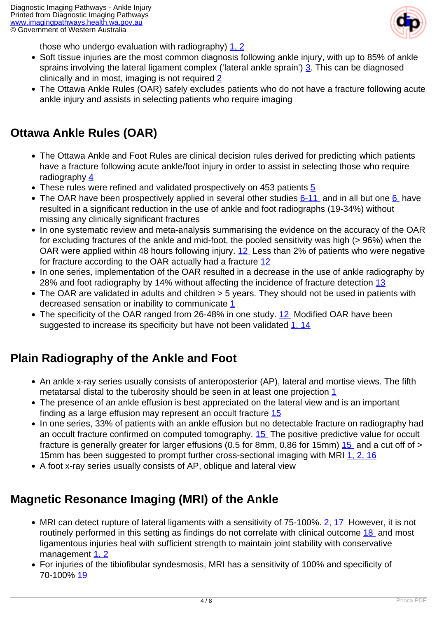

those who undergo evaluation with radiography) [1, 2](index.php/imaging-pathways/musculoskeletal-trauma/bone-and-joint-trauma/ankle-injury?tab=References#1)

- Soft tissue injuries are the most common diagnosis following ankle injury, with up to 85% of ankle sprains involving the lateral ligament complex ('lateral ankle sprain') [3.](index.php/imaging-pathways/musculoskeletal-trauma/bone-and-joint-trauma/ankle-injury?tab=References#3) This can be diagnosed clinically and in most, imaging is not required [2](index.php/imaging-pathways/musculoskeletal-trauma/bone-and-joint-trauma/ankle-injury?tab=References#2)
- The Ottawa Ankle Rules (OAR) safely excludes patients who do not have a fracture following acute ankle injury and assists in selecting patients who require imaging

## **Ottawa Ankle Rules (OAR)**

- The Ottawa Ankle and Foot Rules are clinical decision rules derived for predicting which patients have a fracture following acute ankle/foot injury in order to assist in selecting those who require radiography [4](index.php/imaging-pathways/musculoskeletal-trauma/bone-and-joint-trauma/ankle-injury?tab=References#4)
- These rules were refined and validated prospectively on 453 patients [5](index.php/imaging-pathways/musculoskeletal-trauma/bone-and-joint-trauma/ankle-injury?tab=References#5)
- The OAR have been prospectively applied in several other studies  $6-11$  and in all but one  $6$  have resulted in a significant reduction in the use of ankle and foot radiographs (19-34%) without missing any clinically significant fractures
- In one systematic review and meta-analysis summarising the evidence on the accuracy of the OAR for excluding fractures of the ankle and mid-foot, the pooled sensitivity was high (> 96%) when the OAR were applied within 48 hours following injury. [12](index.php/imaging-pathways/musculoskeletal-trauma/bone-and-joint-trauma/ankle-injury?tab=References#12) Less than 2% of patients who were negative for fracture according to the OAR actually had a fracture [12](index.php/imaging-pathways/musculoskeletal-trauma/bone-and-joint-trauma/ankle-injury?tab=References#12)
- In one series, implementation of the OAR resulted in a decrease in the use of ankle radiography by 28% and foot radiography by 14% without affecting the incidence of fracture detection [13](index.php/imaging-pathways/musculoskeletal-trauma/bone-and-joint-trauma/ankle-injury?tab=References#13)
- The OAR are validated in adults and children > 5 years. They should not be used in patients with decreased sensation or inability to communicate [1](index.php/imaging-pathways/musculoskeletal-trauma/bone-and-joint-trauma/ankle-injury?tab=References#1)
- The specificity of the OAR ranged from 26-48% in one study. [12](index.php/imaging-pathways/musculoskeletal-trauma/bone-and-joint-trauma/ankle-injury?tab=References#12) Modified OAR have been suggested to increase its specificity but have not been validated [1, 14](index.php/imaging-pathways/musculoskeletal-trauma/bone-and-joint-trauma/ankle-injury?tab=References#1)

## **Plain Radiography of the Ankle and Foot**

- An ankle x-ray series usually consists of anteroposterior (AP), lateral and mortise views. The fifth metatarsal distal to the tuberosity should be seen in at least one projection [1](index.php/imaging-pathways/musculoskeletal-trauma/bone-and-joint-trauma/ankle-injury?tab=References#1)
- The presence of an ankle effusion is best appreciated on the lateral view and is an important finding as a large effusion may represent an occult fracture [15](index.php/imaging-pathways/musculoskeletal-trauma/bone-and-joint-trauma/ankle-injury?tab=References#15)
- In one series, 33% of patients with an ankle effusion but no detectable fracture on radiography had an occult fracture confirmed on computed tomography. [15](index.php/imaging-pathways/musculoskeletal-trauma/bone-and-joint-trauma/ankle-injury?tab=References#15) The positive predictive value for occult fracture is generally greater for larger effusions (0.5 for 8mm, 0.86 for 15mm)  $15$  and a cut off of > 15mm has been suggested to prompt further cross-sectional imaging with MRI [1, 2,](index.php/imaging-pathways/musculoskeletal-trauma/bone-and-joint-trauma/ankle-injury?tab=References#1) [16](index.php/imaging-pathways/musculoskeletal-trauma/bone-and-joint-trauma/ankle-injury?tab=References#16)
- A foot x-ray series usually consists of AP, oblique and lateral view

## **Magnetic Resonance Imaging (MRI) of the Ankle**

- MRI can detect rupture of lateral ligaments with a sensitivity of 75-100%. [2,](index.php/imaging-pathways/musculoskeletal-trauma/bone-and-joint-trauma/ankle-injury?tab=References#2) [17](index.php/imaging-pathways/musculoskeletal-trauma/bone-and-joint-trauma/ankle-injury?tab=References#17) However, it is not routinely performed in this setting as findings do not correlate with clinical outcome [18](index.php/imaging-pathways/musculoskeletal-trauma/bone-and-joint-trauma/ankle-injury?tab=References#18) and most ligamentous injuries heal with sufficient strength to maintain joint stability with conservative management [1, 2](index.php/imaging-pathways/musculoskeletal-trauma/bone-and-joint-trauma/ankle-injury?tab=References#1)
- For injuries of the tibiofibular syndesmosis, MRI has a sensitivity of 100% and specificity of 70-100% [19](index.php/imaging-pathways/musculoskeletal-trauma/bone-and-joint-trauma/ankle-injury?tab=References#19)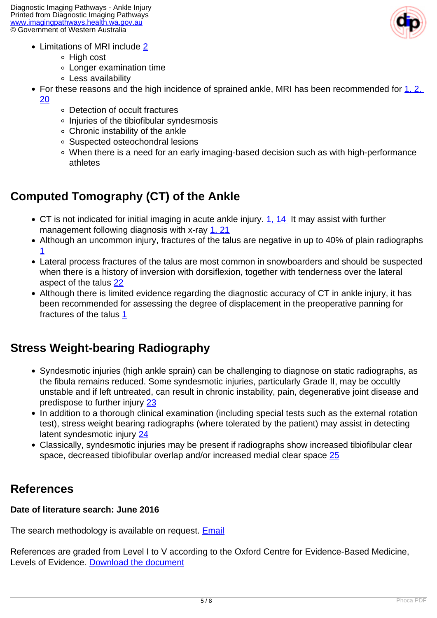

- Limitations of MRI include [2](index.php/imaging-pathways/musculoskeletal-trauma/bone-and-joint-trauma/ankle-injury?tab=References#2)
	- High cost
	- Longer examination time
	- Less availability
- For these reasons and the high incidence of sprained ankle, MRI has been recommended for  $1, 2,$ [20](index.php/imaging-pathways/musculoskeletal-trauma/bone-and-joint-trauma/ankle-injury?tab=References#20)
	- Detection of occult fractures
	- Injuries of the tibiofibular syndesmosis
	- Chronic instability of the ankle
	- Suspected osteochondral lesions
	- When there is a need for an early imaging-based decision such as with high-performance athletes

## **Computed Tomography (CT) of the Ankle**

- CT is not indicated for initial imaging in acute ankle injury. [1, 14](index.php/imaging-pathways/musculoskeletal-trauma/bone-and-joint-trauma/ankle-injury?tab=References#1) It may assist with further management following diagnosis with x-ray [1, 21](index.php/imaging-pathways/musculoskeletal-trauma/bone-and-joint-trauma/ankle-injury?tab=References#1)
- Although an uncommon injury, fractures of the talus are negative in up to 40% of plain radiographs [1](index.php/imaging-pathways/musculoskeletal-trauma/bone-and-joint-trauma/ankle-injury?tab=References#1)
- Lateral process fractures of the talus are most common in snowboarders and should be suspected when there is a history of inversion with dorsiflexion, together with tenderness over the lateral aspect of the talus [22](index.php/imaging-pathways/musculoskeletal-trauma/bone-and-joint-trauma/ankle-injury?tab=References#22)
- Although there is limited evidence regarding the diagnostic accuracy of CT in ankle injury, it has been recommended for assessing the degree of displacement in the preoperative panning for fractures of the talus  $1$

## **Stress Weight-bearing Radiography**

- Syndesmotic injuries (high ankle sprain) can be challenging to diagnose on static radiographs, as the fibula remains reduced. Some syndesmotic injuries, particularly Grade II, may be occultly unstable and if left untreated, can result in chronic instability, pain, degenerative joint disease and predispose to further injury [23](index.php/imaging-pathways/musculoskeletal-trauma/bone-and-joint-trauma/ankle-injury?tab=References#23)
- In addition to a thorough clinical examination (including special tests such as the external rotation test), stress weight bearing radiographs (where tolerated by the patient) may assist in detecting latent syndesmotic injury [24](index.php/imaging-pathways/musculoskeletal-trauma/bone-and-joint-trauma/ankle-injury?tab=References#24)
- Classically, syndesmotic injuries may be present if radiographs show increased tibiofibular clear space, decreased tibiofibular overlap and/or increased medial clear space [25](index.php/imaging-pathways/musculoskeletal-trauma/bone-and-joint-trauma/ankle-injury?tab=References#25)

### **References**

#### **Date of literature search: June 2016**

The search methodology is available on request. **[Email](index.php/contact-us)** 

References are graded from Level I to V according to the Oxford Centre for Evidence-Based Medicine, Levels of Evidence. [Download the document](http://www.cebm.net/wp-content/uploads/2014/06/CEBM-Levels-of-Evidence-2.1.pdf)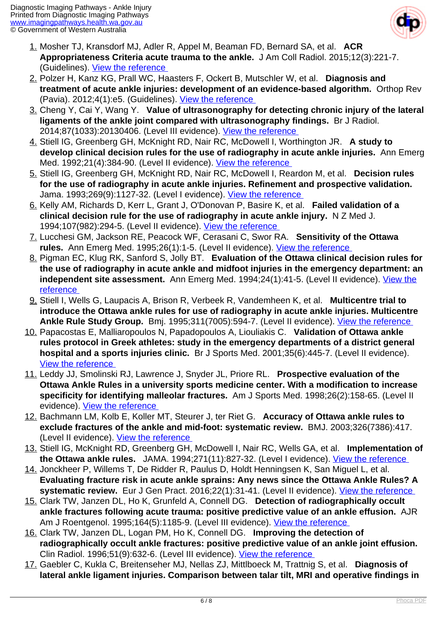

- 1. Mosher TJ, Kransdorf MJ, Adler R, Appel M, Beaman FD, Bernard SA, et al. **ACR Appropriateness Criteria acute trauma to the ankle.** J Am Coll Radiol. 2015;12(3):221-7. (Guidelines). [View the reference](http://www.ncbi.nlm.nih.gov/pubmed/25743919 )
- 2. Polzer H, Kanz KG, Prall WC, Haasters F, Ockert B, Mutschler W, et al. **Diagnosis and treatment of acute ankle injuries: development of an evidence-based algorithm.** Orthop Rev (Pavia). 2012;4(1):e5. (Guidelines). [View the reference](http://www.ncbi.nlm.nih.gov/pubmed/22577506 )
- 3. Cheng Y, Cai Y, Wang Y. **Value of ultrasonography for detecting chronic injury of the lateral ligaments of the ankle joint compared with ultrasonography findings.** Br J Radiol. 2014;87(1033):20130406. (Level III evidence). [View the reference](http://www.ncbi.nlm.nih.gov/pubmed/4352708 )
- 4. Stiell IG, Greenberg GH, McKnight RD, Nair RC, McDowell I, Worthington JR. **A study to develop clinical decision rules for the use of radiography in acute ankle injuries.** Ann Emerg Med. 1992;21(4):384-90. (Level II evidence). [View the reference](http://www.ncbi.nlm.nih.gov/pubmed/1554175 )
- 5. Stiell IG, Greenberg GH, McKnight RD, Nair RC, McDowell I, Reardon M, et al. **Decision rules for the use of radiography in acute ankle injuries. Refinement and prospective validation.**  Jama. 1993;269(9):1127-32. (Level I evidence). View the reference
- 6. Kelly AM, Richards D, Kerr L, Grant J, O'Donovan P, Basire K, et al. **Failed validation of a clinical decision rule for the use of radiography in acute ankle injury.** N Z Med J. 1994;107(982):294-5. (Level II evidence). [View the reference](http://www.ncbi.nlm.nih.gov/pubmed/8093158 )
- 7. Lucchesi GM, Jackson RE, Peacock WF, Cerasani C, Swor RA. **Sensitivity of the Ottawa** rules. Ann Emerg Med. 1995;26(1):1-5. (Level II evidence). View the reference
- 8. Pigman EC, Klug RK, Sanford S, Jolly BT. **Evaluation of the Ottawa clinical decision rules for the use of radiography in acute ankle and midfoot injuries in the emergency department: an independent site assessment.** Ann Emerg Med. 1994;24(1):41-5. (Level II evidence). [View the](http://www.ncbi.nlm.nih.gov/pubmed/7912053 ) [reference](http://www.ncbi.nlm.nih.gov/pubmed/7912053 )
- 9. Stiell I, Wells G, Laupacis A, Brison R, Verbeek R, Vandemheen K, et al. **Multicentre trial to introduce the Ottawa ankle rules for use of radiography in acute ankle injuries. Multicentre Ankle Rule Study Group.** Bmj. 1995;311(7005):594-7. (Level II evidence). [View the reference](http://www.ncbi.nlm.nih.gov/pubmed/7663253 )
- 10. Papacostas E, Malliaropoulos N, Papadopoulos A, Liouliakis C. **Validation of Ottawa ankle rules protocol in Greek athletes: study in the emergency departments of a district general hospital and a sports injuries clinic.** Br J Sports Med. 2001;35(6):445-7. (Level II evidence). [View the reference](Br J Sports Med. 2001;35(6):445-7. (Level II evidence). )
- 11. Leddy JJ, Smolinski RJ, Lawrence J, Snyder JL, Priore RL. **Prospective evaluation of the Ottawa Ankle Rules in a university sports medicine center. With a modification to increase specificity for identifying malleolar fractures.** Am J Sports Med. 1998;26(2):158-65. (Level II evidence). [View the reference](http://www.ncbi.nlm.nih.gov/pubmed/9548106 )
- 12. Bachmann LM, Kolb E, Koller MT, Steurer J, ter Riet G. **Accuracy of Ottawa ankle rules to exclude fractures of the ankle and mid-foot: systematic review.** BMJ. 2003;326(7386):417. (Level II evidence). [View the reference](http://www.ncbi.nlm.nih.gov/pubmed/12595378 )
- 13. Stiell IG, McKnight RD, Greenberg GH, McDowell I, Nair RC, Wells GA, et al. **Implementation of the Ottawa ankle rules.** JAMA. 1994;271(11):827-32. (Level I evidence). [View the reference](http://www.ncbi.nlm.nih.gov/pubmed/8114236 )
- 14. Jonckheer P, Willems T, De Ridder R, Paulus D, Holdt Henningsen K, San Miguel L, et al. **Evaluating fracture risk in acute ankle sprains: Any news since the Ottawa Ankle Rules? A systematic review.** Eur J Gen Pract. 2016;22(1):31-41. (Level II evidence). *View the reference*
- 15. Clark TW, Janzen DL, Ho K, Grunfeld A, Connell DG. **Detection of radiographically occult ankle fractures following acute trauma: positive predictive value of an ankle effusion.** AJR Am J Roentgenol. 1995;164(5):1185-9. (Level III evidence). [View the reference](http://www.ncbi.nlm.nih.gov/pubmed/7717229 )
- 16. Clark TW, Janzen DL, Logan PM, Ho K, Connell DG. **Improving the detection of radiographically occult ankle fractures: positive predictive value of an ankle joint effusion.**  Clin Radiol. 1996;51(9):632-6. (Level III evidence). [View the reference](http://www.ncbi.nlm.nih.gov/pubmed/8810692 )
- 17. Gaebler C, Kukla C, Breitenseher MJ, Nellas ZJ, Mittlboeck M, Trattnig S, et al. **Diagnosis of lateral ankle ligament injuries. Comparison between talar tilt, MRI and operative findings in**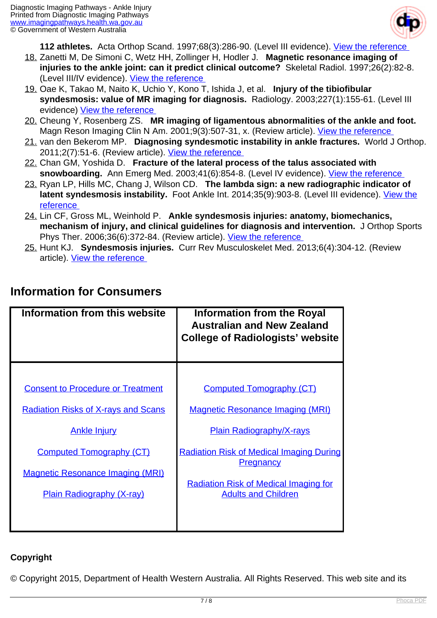

**112 athletes.** Acta Orthop Scand. 1997;68(3):286-90. (Level III evidence). [View the reference](http://www.ncbi.nlm.nih.gov/pubmed/9246995 ) 

- 18. Zanetti M, De Simoni C, Wetz HH, Zollinger H, Hodler J. **Magnetic resonance imaging of injuries to the ankle joint: can it predict clinical outcome?** Skeletal Radiol. 1997;26(2):82-8. (Level III/IV evidence). [View the reference](http://www.ncbi.nlm.nih.gov/pubmed/9060098 )
- 19. Oae K, Takao M, Naito K, Uchio Y, Kono T, Ishida J, et al. **Injury of the tibiofibular syndesmosis: value of MR imaging for diagnosis.** Radiology. 2003;227(1):155-61. (Level III evidence) [View the reference](http://www.ncbi.nlm.nih.gov/pubmed/12616009 )
- 20. Cheung Y, Rosenberg ZS. **MR imaging of ligamentous abnormalities of the ankle and foot.**  Magn Reson Imaging Clin N Am. 2001;9(3):507-31, x. (Review article). View the reference
- 21. van den Bekerom MP. **Diagnosing syndesmotic instability in ankle fractures.** World J Orthop. 2011;2(7):51-6. (Review article). View the reference
- 22. Chan GM, Yoshida D. **Fracture of the lateral process of the talus associated with snowboarding.** Ann Emerg Med. 2003;41(6):854-8. (Level IV evidence). [View the reference](http://www.ncbi.nlm.nih.gov/pubmed/12764342 )
- 23. Ryan LP, Hills MC, Chang J, Wilson CD. **The lambda sign: a new radiographic indicator of latent syndesmosis instability.** Foot Ankle Int. 2014;35(9):903-8. (Level III evidence). [View the](http://www.ncbi.nlm.nih.gov/pubmed/25037708 ) [reference](http://www.ncbi.nlm.nih.gov/pubmed/25037708 )
- 24. Lin CF, Gross ML, Weinhold P. **Ankle syndesmosis injuries: anatomy, biomechanics, mechanism of injury, and clinical guidelines for diagnosis and intervention.** J Orthop Sports Phys Ther. 2006;36(6):372-84. (Review article). View the reference
- 25. Hunt KJ. **Syndesmosis injuries.** Curr Rev Musculoskelet Med. 2013;6(4):304-12. (Review article). [View the reference](https://www.ncbi.nlm.nih.gov/pubmed/23949902 )

| Information from this website                                                                                                                                                                                                   | <b>Information from the Royal</b><br><b>Australian and New Zealand</b><br><b>College of Radiologists' website</b>                                                                                                                                                  |
|---------------------------------------------------------------------------------------------------------------------------------------------------------------------------------------------------------------------------------|--------------------------------------------------------------------------------------------------------------------------------------------------------------------------------------------------------------------------------------------------------------------|
| <b>Consent to Procedure or Treatment</b><br><b>Radiation Risks of X-rays and Scans</b><br><b>Ankle Injury</b><br><b>Computed Tomography (CT)</b><br><b>Magnetic Resonance Imaging (MRI)</b><br><b>Plain Radiography (X-ray)</b> | <b>Computed Tomography (CT)</b><br><b>Magnetic Resonance Imaging (MRI)</b><br><b>Plain Radiography/X-rays</b><br><b>Radiation Risk of Medical Imaging During</b><br><b>Pregnancy</b><br><b>Radiation Risk of Medical Imaging for</b><br><b>Adults and Children</b> |
|                                                                                                                                                                                                                                 |                                                                                                                                                                                                                                                                    |

## **Information for Consumers**

#### **Copyright**

© Copyright 2015, Department of Health Western Australia. All Rights Reserved. This web site and its